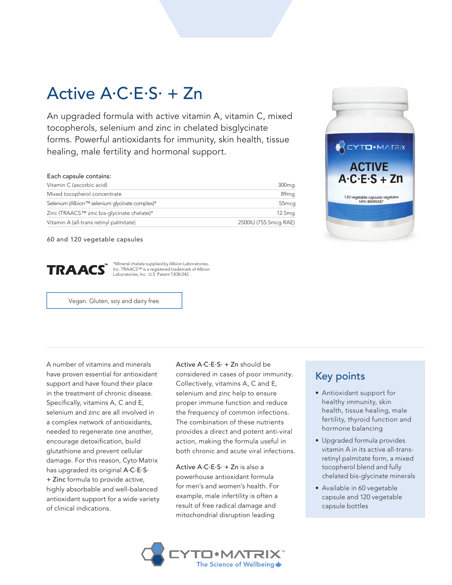## Active A·C·E·S· + Zn

An upgraded formula with active vitamin A, vitamin C, mixed tocopherols, selenium and zinc in chelated bisglycinate forms. Powerful antioxidants for immunity, skin health, tissue healing, male fertility and hormonal support.

| Each capsule contains:                         |                       |
|------------------------------------------------|-----------------------|
| Vitamin C (ascorbic acid)                      | 300 <sub>mg</sub>     |
| Mixed tocopherol concentrate                   | 89 <sub>mg</sub>      |
| Selenium (Albion™ selenium glycinate complex)* | 55 <sub>mcg</sub>     |
| Zinc (TRAACS™ zinc bis-glycinate chelate)*     | 12.5 <sub>mg</sub>    |
| Vitamin A (all-trans retinyl palmitate)        | 2500IU (755.5mcg RAE) |

60 and 120 vegetable capsules



\*Mineral chelate supplied by Albion Laboratories, Inc. TRAACS™ is a registered trademark of Albion Laboratories, Inc. U.S. Patent 7,838,042.

Vegan. Gluten, soy and dairy free.

A number of vitamins and minerals have proven essential for antioxidant support and have found their place in the treatment of chronic disease. Specifically, vitamins A, C and E, selenium and zinc are all involved in a complex network of antioxidants, needed to regenerate one another, encourage detoxification, build glutathione and prevent cellular damage. For this reason, Cyto.Matrix has upgraded its original A.C.E.S. + Zinc formula to provide active, highly absorbable and well-balanced antioxidant support for a wide variety of clinical indications.

Active  $A \cdot C \cdot E \cdot S \cdot + Zn$  should be considered in cases of poor immunity. Collectively, vitamins A, C and E, selenium and zinc help to ensure proper immune function and reduce the frequency of common infections. The combination of these nutrients provides a direct and potent anti-viral action, making the formula useful in both chronic and acute viral infections.

Active  $A \cdot C \cdot E \cdot S \cdot + Zn$  is also a powerhouse antioxidant formula for men's and women's health. For example, male infertility is often a result of free radical damage and mitochondrial disruption leading



## Key points

- Antioxidant support for healthy immunity, skin health, tissue healing, male fertility, thyroid function and hormone balancing
- Upgraded formula provides vitamin A in its active all-transretinyl palmitate form, a mixed tocopherol blend and fully chelated bis-glycinate minerals
- Available in 60 vegetable capsule and 120 vegetable capsule bottles